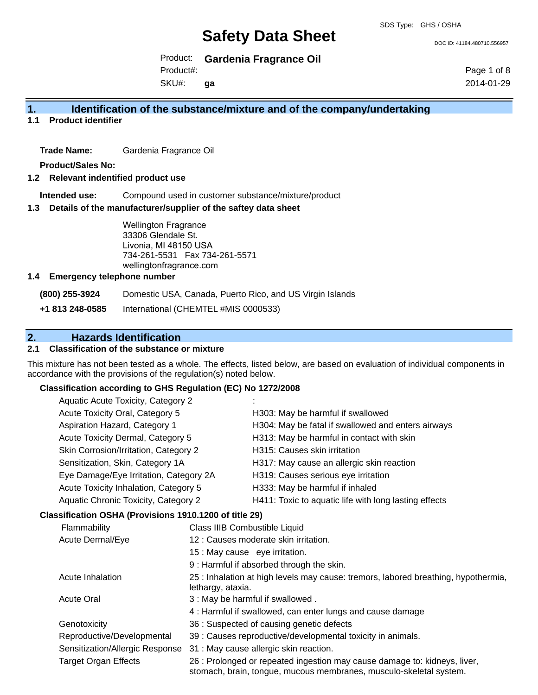DOC ID: 41184.480710.556957

Product: **Gardenia Fragrance Oil**

Product#:

SKU#: **ga** Page 1 of 8 2014-01-29

## **1. Identification of the substance/mixture and of the company/undertaking**

**1.1 Product identifier**

**Trade Name:** Gardenia Fragrance Oil

**Product/Sales No:**

#### **1.2 Relevant indentified product use**

**Intended use:** Compound used in customer substance/mixture/product

#### **1.3 Details of the manufacturer/supplier of the saftey data sheet**

Wellington Fragrance 33306 Glendale St. Livonia, MI 48150 USA 734-261-5531 Fax 734-261-5571 wellingtonfragrance.com

#### **1.4 Emergency telephone number**

**(800) 255-3924** Domestic USA, Canada, Puerto Rico, and US Virgin Islands

**+1 813 248-0585** International (CHEMTEL #MIS 0000533)

# **2. Hazards Identification**

### **2.1 Classification of the substance or mixture**

This mixture has not been tested as a whole. The effects, listed below, are based on evaluation of individual components in accordance with the provisions of the regulation(s) noted below.

#### **Classification according to GHS Regulation (EC) No 1272/2008**

| Aquatic Acute Toxicity, Category 2     |                                                       |
|----------------------------------------|-------------------------------------------------------|
| Acute Toxicity Oral, Category 5        | H303: May be harmful if swallowed                     |
| Aspiration Hazard, Category 1          | H304: May be fatal if swallowed and enters airways    |
| Acute Toxicity Dermal, Category 5      | H313: May be harmful in contact with skin             |
| Skin Corrosion/Irritation, Category 2  | H315: Causes skin irritation                          |
| Sensitization, Skin, Category 1A       | H317: May cause an allergic skin reaction             |
| Eye Damage/Eye Irritation, Category 2A | H319: Causes serious eye irritation                   |
| Acute Toxicity Inhalation, Category 5  | H333: May be harmful if inhaled                       |
| Aquatic Chronic Toxicity, Category 2   | H411: Toxic to aquatic life with long lasting effects |
|                                        |                                                       |

#### **Classification OSHA (Provisions 1910.1200 of title 29)**

| Flammability                    | Class IIIB Combustible Liquid                                                                                                                   |
|---------------------------------|-------------------------------------------------------------------------------------------------------------------------------------------------|
| Acute Dermal/Eye                | 12 : Causes moderate skin irritation.                                                                                                           |
|                                 | 15 : May cause eye irritation.                                                                                                                  |
|                                 | 9: Harmful if absorbed through the skin.                                                                                                        |
| Acute Inhalation                | 25 : Inhalation at high levels may cause: tremors, labored breathing, hypothermia,<br>lethargy, ataxia.                                         |
| <b>Acute Oral</b>               | 3 : May be harmful if swallowed.                                                                                                                |
|                                 | 4: Harmful if swallowed, can enter lungs and cause damage                                                                                       |
| Genotoxicity                    | 36 : Suspected of causing genetic defects                                                                                                       |
| Reproductive/Developmental      | 39 : Causes reproductive/developmental toxicity in animals.                                                                                     |
| Sensitization/Allergic Response | 31 : May cause allergic skin reaction.                                                                                                          |
| Target Organ Effects            | 26 : Prolonged or repeated ingestion may cause damage to: kidneys, liver,<br>stomach, brain, tongue, mucous membranes, musculo-skeletal system. |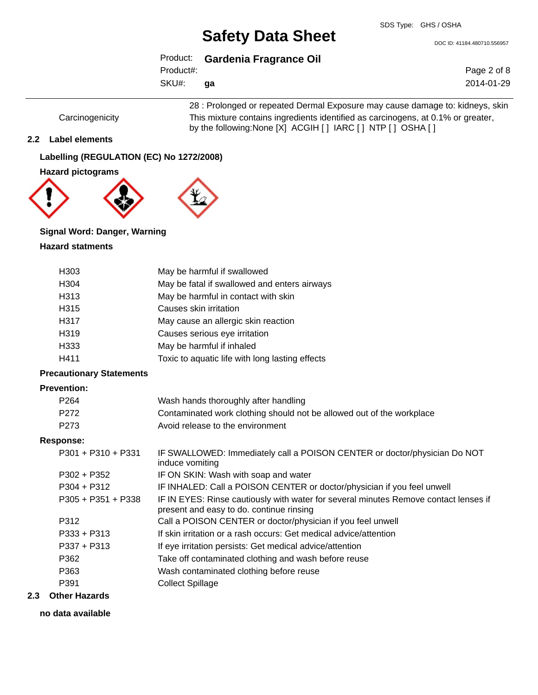DOC ID: 41184.480710.556957

|           | Product: Gardenia Fragrance Oil |
|-----------|---------------------------------|
| Product#: |                                 |
| SKU#:     | aa                              |

Page 2 of 8 2014-01-29

28 : Prolonged or repeated Dermal Exposure may cause damage to: kidneys, skin Carcinogenicity This mixture contains ingredients identified as carcinogens, at 0.1% or greater, by the following:None [X] ACGIH [ ] IARC [ ] NTP [ ] OSHA [ ]

### **2.2 Label elements**

**Labelling (REGULATION (EC) No 1272/2008)**



## **Signal Word: Danger, Warning**

### **Hazard statments**

| H303                            | May be harmful if swallowed                                                                                                      |
|---------------------------------|----------------------------------------------------------------------------------------------------------------------------------|
| H304                            | May be fatal if swallowed and enters airways                                                                                     |
| H313                            | May be harmful in contact with skin                                                                                              |
| H315                            | Causes skin irritation                                                                                                           |
| H317                            | May cause an allergic skin reaction                                                                                              |
| H319                            | Causes serious eye irritation                                                                                                    |
| H333                            | May be harmful if inhaled                                                                                                        |
| H411                            | Toxic to aquatic life with long lasting effects                                                                                  |
| <b>Precautionary Statements</b> |                                                                                                                                  |
| <b>Prevention:</b>              |                                                                                                                                  |
| P <sub>264</sub>                | Wash hands thoroughly after handling                                                                                             |
| P272                            | Contaminated work clothing should not be allowed out of the workplace                                                            |
| P273                            | Avoid release to the environment                                                                                                 |
| <b>Response:</b>                |                                                                                                                                  |
| $P301 + P310 + P331$            | IF SWALLOWED: Immediately call a POISON CENTER or doctor/physician Do NOT<br>induce vomiting                                     |
| P302 + P352                     | IF ON SKIN: Wash with soap and water                                                                                             |
| $P304 + P312$                   | IF INHALED: Call a POISON CENTER or doctor/physician if you feel unwell                                                          |
| $P305 + P351 + P338$            | IF IN EYES: Rinse cautiously with water for several minutes Remove contact lenses if<br>present and easy to do. continue rinsing |
| P312                            | Call a POISON CENTER or doctor/physician if you feel unwell                                                                      |
| P333 + P313                     | If skin irritation or a rash occurs: Get medical advice/attention                                                                |
| $P337 + P313$                   | If eye irritation persists: Get medical advice/attention                                                                         |
| P362                            | Take off contaminated clothing and wash before reuse                                                                             |
| P363                            | Wash contaminated clothing before reuse                                                                                          |
| P391                            | <b>Collect Spillage</b>                                                                                                          |
| وحاللت متحافة                   |                                                                                                                                  |

### **2.3 Other Hazards**

#### **no data available**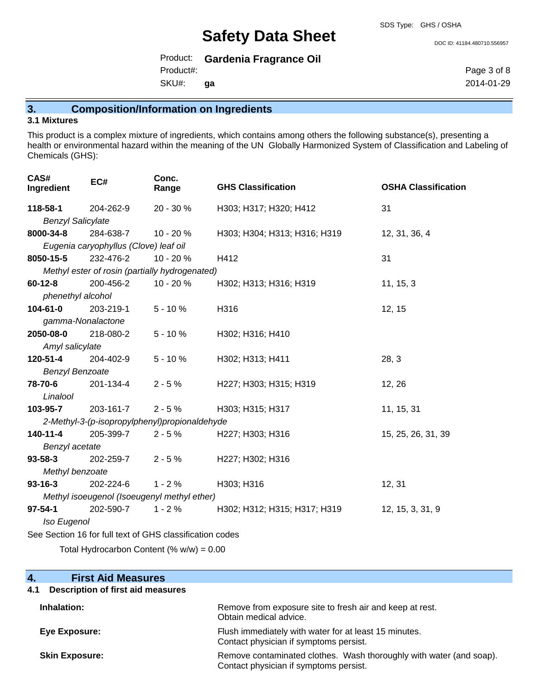DOC ID: 41184.480710.556957

Product: **Gardenia Fragrance Oil**

Product#:

SKU#: **ga** Page 3 of 8 2014-01-29

# **3. Composition/Information on Ingredients**

#### **3.1 Mixtures**

This product is a complex mixture of ingredients, which contains among others the following substance(s), presenting a health or environmental hazard within the meaning of the UN Globally Harmonized System of Classification and Labeling of Chemicals (GHS):

| CAS#<br>Ingredient                                       | EC#                                   | Conc.<br>Range                                 | <b>GHS Classification</b>    | <b>OSHA Classification</b> |
|----------------------------------------------------------|---------------------------------------|------------------------------------------------|------------------------------|----------------------------|
| 118-58-1                                                 | 204-262-9                             | 20 - 30 %                                      | H303; H317; H320; H412       | 31                         |
| <b>Benzyl Salicylate</b>                                 |                                       |                                                |                              |                            |
| 8000-34-8                                                | 284-638-7                             | $10 - 20%$                                     | H303; H304; H313; H316; H319 | 12, 31, 36, 4              |
|                                                          | Eugenia caryophyllus (Clove) leaf oil |                                                |                              |                            |
| 8050-15-5                                                | 232-476-2                             | 10 - 20 %                                      | H412                         | 31                         |
|                                                          |                                       | Methyl ester of rosin (partially hydrogenated) |                              |                            |
| $60 - 12 - 8$                                            | 200-456-2                             | $10 - 20%$                                     | H302; H313; H316; H319       | 11, 15, 3                  |
| phenethyl alcohol                                        |                                       |                                                |                              |                            |
| 104-61-0                                                 | 203-219-1                             | $5 - 10%$                                      | H316                         | 12, 15                     |
| gamma-Nonalactone                                        |                                       |                                                |                              |                            |
| 2050-08-0                                                | 218-080-2                             | $5 - 10%$                                      | H302; H316; H410             |                            |
| Amyl salicylate                                          |                                       |                                                |                              |                            |
| 120-51-4                                                 | 204-402-9                             | $5 - 10%$                                      | H302; H313; H411             | 28, 3                      |
| <b>Benzyl Benzoate</b>                                   |                                       |                                                |                              |                            |
| 78-70-6                                                  | 201-134-4                             | $2 - 5%$                                       | H227; H303; H315; H319       | 12, 26                     |
| Linalool                                                 |                                       |                                                |                              |                            |
| 103-95-7                                                 | 203-161-7                             | $2 - 5%$                                       | H303; H315; H317             | 11, 15, 31                 |
|                                                          |                                       | 2-Methyl-3-(p-isopropylphenyl)propionaldehyde  |                              |                            |
| 140-11-4                                                 | 205-399-7                             | $2 - 5%$                                       | H227; H303; H316             | 15, 25, 26, 31, 39         |
| Benzyl acetate                                           |                                       |                                                |                              |                            |
| $93 - 58 - 3$                                            | 202-259-7                             | $2 - 5%$                                       | H227; H302; H316             |                            |
| Methyl benzoate                                          |                                       |                                                |                              |                            |
| $93 - 16 - 3$                                            | 202-224-6                             | $1 - 2%$                                       | H303; H316                   | 12, 31                     |
| Methyl isoeugenol (Isoeugenyl methyl ether)              |                                       |                                                |                              |                            |
| $97 - 54 - 1$                                            | 202-590-7                             | $1 - 2%$                                       | H302; H312; H315; H317; H319 | 12, 15, 3, 31, 9           |
| Iso Eugenol                                              |                                       |                                                |                              |                            |
| See Section 16 for full text of GHS classification codes |                                       |                                                |                              |                            |
| $\sim$ $\sim$ $\sim$ $\sim$ $\sim$ $\sim$ $\sim$ $\sim$  |                                       |                                                |                              |                            |

Total Hydrocarbon Content (% w/w) = 0.00

| Remove from exposure site to fresh air and keep at rest.<br>Obtain medical advice.                            |
|---------------------------------------------------------------------------------------------------------------|
| Flush immediately with water for at least 15 minutes.<br>Contact physician if symptoms persist.               |
| Remove contaminated clothes. Wash thoroughly with water (and soap).<br>Contact physician if symptoms persist. |
|                                                                                                               |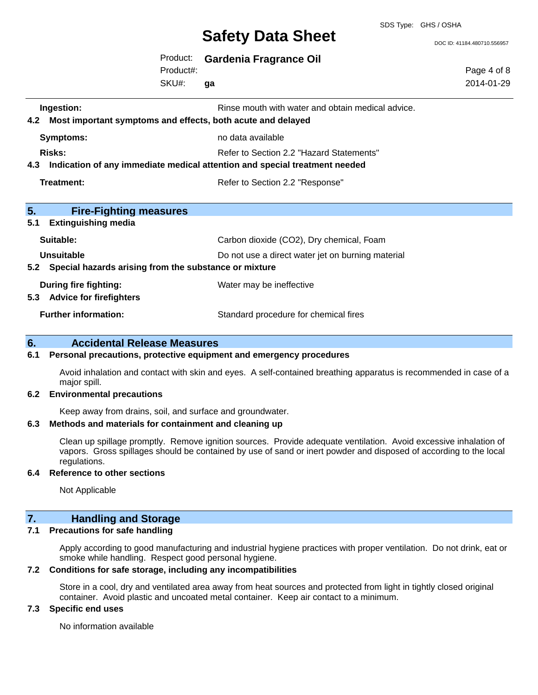SDS Type: GHS / OSHA

DOC ID: 41184.480710.556957

|     |                                                       | Product:<br>Product#: | <b>Gardenia Fragrance Oil</b>                                              |                           |
|-----|-------------------------------------------------------|-----------------------|----------------------------------------------------------------------------|---------------------------|
|     |                                                       | SKU#:                 | qa                                                                         | Page 4 of 8<br>2014-01-29 |
|     | Ingestion:                                            |                       | Rinse mouth with water and obtain medical advice.                          |                           |
| 4.2 |                                                       |                       | Most important symptoms and effects, both acute and delayed                |                           |
|     | Symptoms:                                             |                       | no data available                                                          |                           |
|     | <b>Risks:</b>                                         |                       | Refer to Section 2.2 "Hazard Statements"                                   |                           |
| 4.3 |                                                       |                       | Indication of any immediate medical attention and special treatment needed |                           |
|     | Treatment:                                            |                       | Refer to Section 2.2 "Response"                                            |                           |
| 5.  | <b>Fire-Fighting measures</b>                         |                       |                                                                            |                           |
| 5.1 | <b>Extinguishing media</b>                            |                       |                                                                            |                           |
|     | Suitable:                                             |                       | Carbon dioxide (CO2), Dry chemical, Foam                                   |                           |
|     | <b>Unsuitable</b>                                     |                       | Do not use a direct water jet on burning material                          |                           |
| 5.2 | Special hazards arising from the substance or mixture |                       |                                                                            |                           |
|     | <b>During fire fighting:</b>                          |                       | Water may be ineffective                                                   |                           |
| 5.3 | <b>Advice for firefighters</b>                        |                       |                                                                            |                           |
|     | <b>Further information:</b>                           |                       | Standard procedure for chemical fires                                      |                           |
| 6.  | <b>Accidental Release Measures</b>                    |                       |                                                                            |                           |

#### **6.1 Personal precautions, protective equipment and emergency procedures**

Avoid inhalation and contact with skin and eyes. A self-contained breathing apparatus is recommended in case of a major spill.

#### **6.2 Environmental precautions**

Keep away from drains, soil, and surface and groundwater.

### **6.3 Methods and materials for containment and cleaning up**

Clean up spillage promptly. Remove ignition sources. Provide adequate ventilation. Avoid excessive inhalation of vapors. Gross spillages should be contained by use of sand or inert powder and disposed of according to the local regulations.

#### **6.4 Reference to other sections**

Not Applicable

### **7. Handling and Storage**

#### **7.1 Precautions for safe handling**

Apply according to good manufacturing and industrial hygiene practices with proper ventilation. Do not drink, eat or smoke while handling. Respect good personal hygiene.

#### **7.2 Conditions for safe storage, including any incompatibilities**

Store in a cool, dry and ventilated area away from heat sources and protected from light in tightly closed original container. Avoid plastic and uncoated metal container. Keep air contact to a minimum.

#### **7.3 Specific end uses**

No information available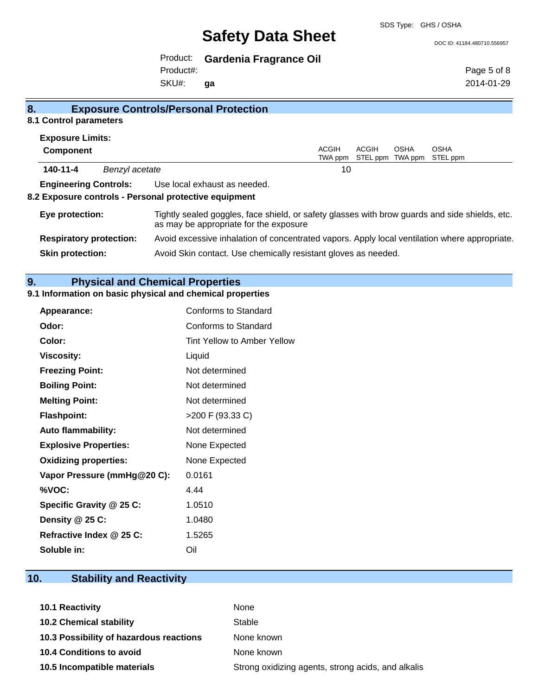SDS Type: GHS / OSHA

DOC ID: 41184.480710.556957

Product: **Gardenia Fragrance Oil**

Product#:

SKU#: **ga** Page 5 of 8 2014-01-29

| 8.1 Control parameters                                |                                                                                                                                          |                                                                |       |                          |                         |
|-------------------------------------------------------|------------------------------------------------------------------------------------------------------------------------------------------|----------------------------------------------------------------|-------|--------------------------|-------------------------|
| <b>Exposure Limits:</b>                               |                                                                                                                                          |                                                                |       |                          |                         |
| Component                                             |                                                                                                                                          | <b>ACGIH</b><br>TWA ppm                                        | ACGIH | OSHA<br>STEL ppm TWA ppm | <b>OSHA</b><br>STEL ppm |
| 140-11-4<br>Benzyl acetate                            |                                                                                                                                          | 10                                                             |       |                          |                         |
| <b>Engineering Controls:</b>                          | Use local exhaust as needed.                                                                                                             |                                                                |       |                          |                         |
| 8.2 Exposure controls - Personal protective equipment |                                                                                                                                          |                                                                |       |                          |                         |
| Eye protection:                                       | Tightly sealed goggles, face shield, or safety glasses with brow guards and side shields, etc.<br>as may be appropriate for the exposure |                                                                |       |                          |                         |
| <b>Respiratory protection:</b>                        | Avoid excessive inhalation of concentrated vapors. Apply local ventilation where appropriate.                                            |                                                                |       |                          |                         |
| <b>Skin protection:</b>                               |                                                                                                                                          | Avoid Skin contact. Use chemically resistant gloves as needed. |       |                          |                         |

# **9. Physical and Chemical Properties**

# **9.1 Information on basic physical and chemical properties**

**8. Exposure Controls/Personal Protection**

| Appearance:                  | Conforms to Standard        |
|------------------------------|-----------------------------|
| Odor:                        | Conforms to Standard        |
| Color:                       | Tint Yellow to Amber Yellow |
| <b>Viscosity:</b>            | Liquid                      |
| <b>Freezing Point:</b>       | Not determined              |
| <b>Boiling Point:</b>        | Not determined              |
| <b>Melting Point:</b>        | Not determined              |
| <b>Flashpoint:</b>           | >200 F (93.33 C)            |
| <b>Auto flammability:</b>    | Not determined              |
| <b>Explosive Properties:</b> | None Expected               |
| <b>Oxidizing properties:</b> | None Expected               |
| Vapor Pressure (mmHg@20 C):  | 0.0161                      |
| %VOC:                        | 4.44                        |
| Specific Gravity @ 25 C:     | 1.0510                      |
| Density @ 25 C:              | 1.0480                      |
| Refractive Index @ 25 C:     | 1.5265                      |
| Soluble in:                  | Oil                         |

# **10. Stability and Reactivity**

| 10.1 Reactivity                         | None                                               |
|-----------------------------------------|----------------------------------------------------|
| <b>10.2 Chemical stability</b>          | Stable                                             |
| 10.3 Possibility of hazardous reactions | None known                                         |
| <b>10.4 Conditions to avoid</b>         | None known                                         |
| 10.5 Incompatible materials             | Strong oxidizing agents, strong acids, and alkalis |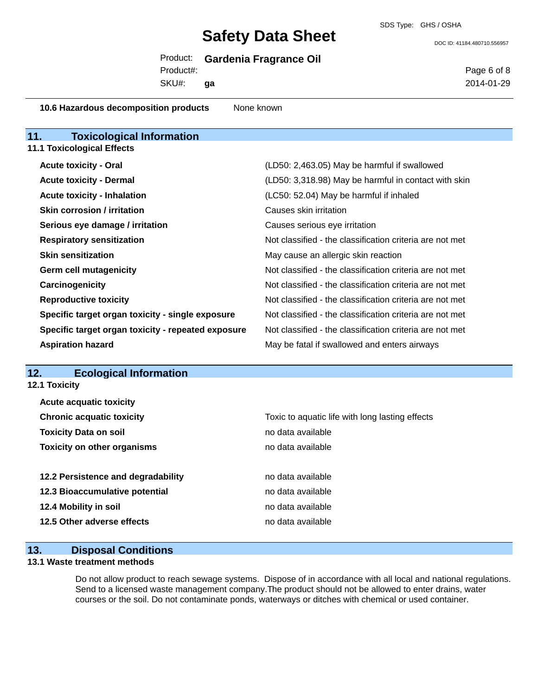SDS Type: GHS / OSHA

DOC ID: 41184.480710.556957

| Product: |  | <b>Gardenia Fragrance Oil</b> |  |
|----------|--|-------------------------------|--|
|----------|--|-------------------------------|--|

Product#:

SKU#: **ga** Page 6 of 8 2014-01-29

**10.6 Hazardous decomposition products** None known

| 11.<br><b>Toxicological Information</b>            |                                                          |
|----------------------------------------------------|----------------------------------------------------------|
| <b>11.1 Toxicological Effects</b>                  |                                                          |
| <b>Acute toxicity - Oral</b>                       | (LD50: 2,463.05) May be harmful if swallowed             |
| <b>Acute toxicity - Dermal</b>                     | (LD50: 3,318.98) May be harmful in contact with skin     |
| <b>Acute toxicity - Inhalation</b>                 | (LC50: 52.04) May be harmful if inhaled                  |
| <b>Skin corrosion / irritation</b>                 | Causes skin irritation                                   |
| Serious eye damage / irritation                    | Causes serious eye irritation                            |
| <b>Respiratory sensitization</b>                   | Not classified - the classification criteria are not met |
| <b>Skin sensitization</b>                          | May cause an allergic skin reaction                      |
| <b>Germ cell mutagenicity</b>                      | Not classified - the classification criteria are not met |
| Carcinogenicity                                    | Not classified - the classification criteria are not met |
| <b>Reproductive toxicity</b>                       | Not classified - the classification criteria are not met |
| Specific target organ toxicity - single exposure   | Not classified - the classification criteria are not met |
| Specific target organ toxicity - repeated exposure | Not classified - the classification criteria are not met |
| <b>Aspiration hazard</b>                           | May be fatal if swallowed and enters airways             |

## **12. Ecological Information**

**12.1 Toxicity**

| <b>Acute acquatic toxicity</b>     |                                                 |
|------------------------------------|-------------------------------------------------|
| <b>Chronic acquatic toxicity</b>   | Toxic to aquatic life with long lasting effects |
| <b>Toxicity Data on soil</b>       | no data available                               |
| <b>Toxicity on other organisms</b> | no data available                               |
|                                    |                                                 |
| 12.2 Persistence and degradability | no data available                               |
| 12.3 Bioaccumulative potential     | no data available                               |
| 12.4 Mobility in soil              | no data available                               |
| 12.5 Other adverse effects         | no data available                               |
|                                    |                                                 |

# **13. Disposal Conditions**

### **13.1 Waste treatment methods**

Do not allow product to reach sewage systems. Dispose of in accordance with all local and national regulations. Send to a licensed waste management company.The product should not be allowed to enter drains, water courses or the soil. Do not contaminate ponds, waterways or ditches with chemical or used container.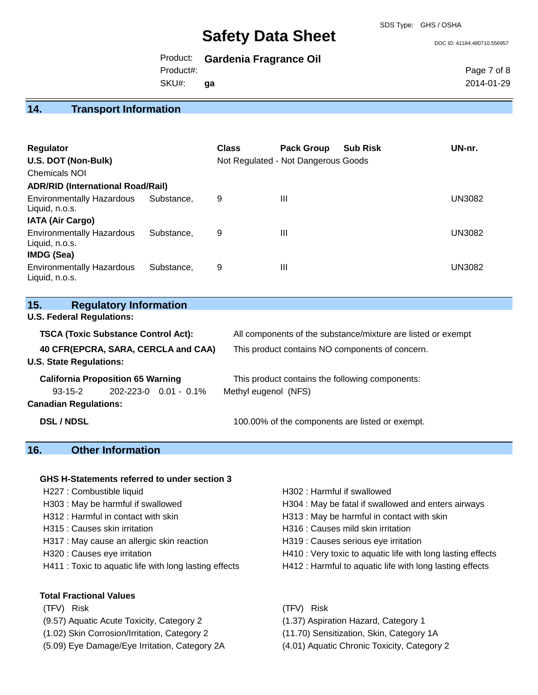SDS Type: GHS / OSHA

#### DOC ID: 41184.480710.556957

|           | Product: Gardenia Fragrance Oil |
|-----------|---------------------------------|
| Product#: |                                 |
| SKU#:     | ga                              |

Page 7 of 8 2014-01-29

## **14. Transport Information**

| Regulator<br>U.S. DOT (Non-Bulk)<br><b>Chemicals NOI</b><br><b>ADR/RID (International Road/Rail)</b> |            | <b>Class</b> | <b>Pack Group</b><br>Not Regulated - Not Dangerous Goods | <b>Sub Risk</b> | UN-nr.        |
|------------------------------------------------------------------------------------------------------|------------|--------------|----------------------------------------------------------|-----------------|---------------|
| <b>Environmentally Hazardous</b><br>Liquid, n.o.s.<br><b>IATA (Air Cargo)</b>                        | Substance. | 9            | $\mathbf{III}$                                           |                 | UN3082        |
| <b>Environmentally Hazardous</b><br>Liquid, n.o.s.<br><b>IMDG (Sea)</b>                              | Substance. | 9            | $\mathbf{III}$                                           |                 | <b>UN3082</b> |
| <b>Environmentally Hazardous</b><br>Liquid, n.o.s.                                                   | Substance. | 9            | $\mathbf{III}$                                           |                 | UN3082        |

| 15. | <b>Regulatory Information</b> |  |
|-----|-------------------------------|--|
|-----|-------------------------------|--|

**U.S. Federal Regulations:**

| <b>TSCA (Toxic Substance Control Act):</b> |  |                             | All components of the substance/mixture are listed or exempt |  |
|--------------------------------------------|--|-----------------------------|--------------------------------------------------------------|--|
| 40 CFR(EPCRA, SARA, CERCLA and CAA)        |  |                             | This product contains NO components of concern.              |  |
| <b>U.S. State Regulations:</b>             |  |                             |                                                              |  |
| <b>California Proposition 65 Warning</b>   |  |                             | This product contains the following components:              |  |
| $93 - 15 - 2$                              |  | $202 - 223 - 0$ 0.01 - 0.1% | Methyl eugenol (NFS)                                         |  |
| <b>Canadian Regulations:</b>               |  |                             |                                                              |  |
| <b>DSL/NDSL</b>                            |  |                             | 100.00% of the components are listed or exempt.              |  |

# **16. Other Information**

#### **GHS H-Statements referred to under section 3**

- 
- 
- 
- H317 : May cause an allergic skin reaction **H319** : Causes serious eye irritation
- 
- 

#### **Total Fractional Values**

- (TFV) Risk (TFV) Risk
- (9.57) Aquatic Acute Toxicity, Category 2 (1.37) Aspiration Hazard, Category 1
- (1.02) Skin Corrosion/Irritation, Category 2 (11.70) Sensitization, Skin, Category 1A
- (5.09) Eye Damage/Eye Irritation, Category 2A (4.01) Aquatic Chronic Toxicity, Category 2
- H227 : Combustible liquid **H227** : Combustible liquid
- H303 : May be harmful if swallowed **H304** : May be fatal if swallowed and enters airways
- H312 : Harmful in contact with skin H313 : May be harmful in contact with skin
- H315 : Causes skin irritation et al. (a) H316 : Causes mild skin irritation
	-
- H320 : Causes eye irritation **H410** : Very toxic to aquatic life with long lasting effects
- H411 : Toxic to aquatic life with long lasting effects H412 : Harmful to aquatic life with long lasting effects
	-
	-
	-
	-